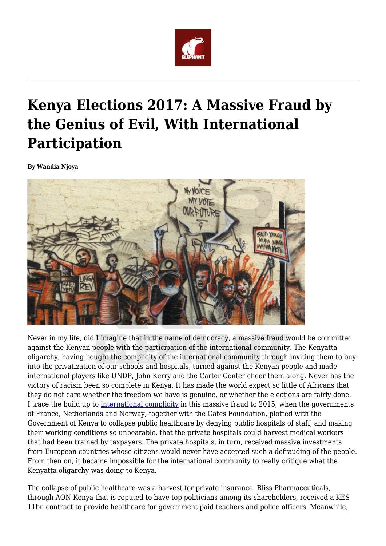

## **Kenya Elections 2017: A Massive Fraud by the Genius of Evil, With International Participation**

**By Wandia Njoya**



Never in my life, did I imagine that in the name of democracy, a massive fraud would be committed against the Kenyan people with the participation of the international community. The Kenyatta oligarchy, having bought the complicity of the international community through inviting them to buy into the privatization of our schools and hospitals, turned against the Kenyan people and made international players like UNDP, John Kerry and the Carter Center cheer them along. Never has the victory of racism been so complete in Kenya. It has made the world expect so little of Africans that they do not care whether the freedom we have is genuine, or whether the elections are fairly done. I trace the build up to [international complicity](http://www.wandianjoya.com/blog/lipakamatender-is-no-longer-a-strike-its-a-movement) in this massive fraud to 2015, when the governments of France, Netherlands and Norway, together with the Gates Foundation, plotted with the Government of Kenya to collapse public healthcare by denying public hospitals of staff, and making their working conditions so unbearable, that the private hospitals could harvest medical workers that had been trained by taxpayers. The private hospitals, in turn, received massive investments from European countries whose citizens would never have accepted such a defrauding of the people. From then on, it became impossible for the international community to really critique what the Kenyatta oligarchy was doing to Kenya.

The collapse of public healthcare was a harvest for private insurance. Bliss Pharmaceuticals, through AON Kenya that is reputed to have top politicians among its shareholders, received a KES 11bn contract to provide healthcare for government paid teachers and police officers. Meanwhile,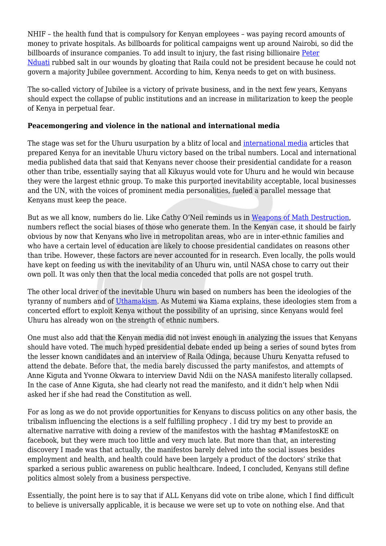NHIF – the health fund that is compulsory for Kenyan employees – was paying record amounts of money to private hospitals. As billboards for political campaigns went up around Nairobi, so did the billboards of insurance companies. To add insult to injury, the fast rising billionaire [Peter](https://twitter.com/PeterNduati/status/895722063637483520) [Nduati](https://twitter.com/PeterNduati/status/895722063637483520) rubbed salt in our wounds by gloating that Raila could not be president because he could not govern a majority Jubilee government. According to him, Kenya needs to get on with business.

The so-called victory of Jubilee is a victory of private business, and in the next few years, Kenyans should expect the collapse of public institutions and an increase in militarization to keep the people of Kenya in perpetual fear.

## **Peacemongering and violence in the national and international media**

The stage was set for the Uhuru usurpation by a blitz of local and [international media](https://www.washingtonpost.com/news/monkey-cage/wp/2017/08/07/heres-how-partisanship-not-the-economy-is-shaping-kenyas-close-election/?utm_term=.031a743405e6) articles that prepared Kenya for an inevitable Uhuru victory based on the tribal numbers. Local and international media published data that said that Kenyans never choose their presidential candidate for a reason other than tribe, essentially saying that all Kikuyus would vote for Uhuru and he would win because they were the largest ethnic group. To make this purported inevitability acceptable, local businesses and the UN, with the voices of prominent media personalities, fueled a parallel message that Kenyans must keep the peace.

But as we all know, numbers do lie. Like Cathy O'Neil reminds us in [Weapons of Math Destruction,](https://www.youtube.com/watch?v=gdCJYsKlX_Y) numbers reflect the social biases of those who generate them. In the Kenyan case, it should be fairly obvious by now that Kenyans who live in metropolitan areas, who are in inter-ethnic families and who have a certain level of education are likely to choose presidential candidates on reasons other than tribe. However, these factors are never accounted for in research. Even locally, the polls would have kept on feeding us with the inevitability of an Uhuru win, until NASA chose to carry out their own poll. It was only then that the local media conceded that polls are not gospel truth.

The other local driver of the inevitable Uhuru win based on numbers has been the ideologies of the tyranny of numbers and of [Uthamakism](https://www.theelephant.info/podcasts/2017/08/07/the-ideology-of-uthamaki/). As Mutemi wa Kiama explains, these ideologies stem from a concerted effort to exploit Kenya without the possibility of an uprising, since Kenyans would feel Uhuru has already won on the strength of ethnic numbers.

One must also add that the Kenyan media did not invest enough in analyzing the issues that Kenyans should have voted. The much hyped presidential debate ended up being a series of sound bytes from the lesser known candidates and an interview of Raila Odinga, because Uhuru Kenyatta refused to attend the debate. Before that, the media barely discussed the party manifestos, and attempts of Anne Kiguta and Yvonne Okwara to interview David Ndii on the NASA manifesto literally collapsed. In the case of Anne Kiguta, she had clearly not read the manifesto, and it didn't help when Ndii asked her if she had read the Constitution as well.

For as long as we do not provide opportunities for Kenyans to discuss politics on any other basis, the tribalism influencing the elections is a self fulfilling prophecy . I did try my best to provide an alternative narrative with doing a review of the manifestos with the hashtag #ManifestosKE on facebook, but they were much too little and very much late. But more than that, an interesting discovery I made was that actually, the manifestos barely delved into the social issues besides employment and health, and health could have been largely a product of the doctors' strike that sparked a serious public awareness on public healthcare. Indeed, I concluded, Kenyans still define politics almost solely from a business perspective.

Essentially, the point here is to say that if ALL Kenyans did vote on tribe alone, which I find difficult to believe is universally applicable, it is because we were set up to vote on nothing else. And that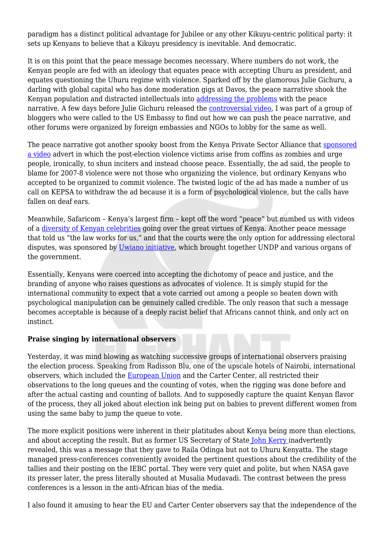paradigm has a distinct political advantage for Jubilee or any other Kikuyu-centric political party: it sets up Kenyans to believe that a Kikuyu presidency is inevitable. And democratic.

It is on this point that the peace message becomes necessary. Where numbers do not work, the Kenyan people are fed with an ideology that equates peace with accepting Uhuru as president, and equates questioning the Uhuru regime with violence. Sparked off by the glamorous Julie Gichuru, a darling with global capital who has done moderation gigs at Davos, the peace narrative shook the Kenyan population and distracted intellectuals into [addressing the problems](https://www.theelephant.info/podcasts/2017/08/03/kenya-on-the-edge/) with the peace narrative. A few days before Julie Gichuru released the [controversial video,](https://twitter.com/JulieGichuru/status/882278855234510849) I was part of a group of bloggers who were called to the US Embassy to find out how we can push the peace narrative, and other forums were organized by foreign embassies and NGOs to lobby for the same as well.

The peace narrative got another spooky boost from the Kenya Private Sector Alliance that [sponsored](https://twitter.com/KEPSA_KENYA/status/894546543650512896) [a video](https://twitter.com/KEPSA_KENYA/status/894546543650512896) advert in which the post-election violence victims arise from coffins as zombies and urge people, ironically, to shun inciters and instead choose peace. Essentially, the ad said, the people to blame for 2007-8 violence were not those who organizing the violence, but ordinary Kenyans who accepted to be organized to commit violence. The twisted logic of the ad has made a number of us call on KEPSA to withdraw the ad because it is a form of psychological violence, but the calls have fallen on deaf ears.

Meanwhile, Safaricom – Kenya's largest firm – kept off the word "peace" but numbed us with videos of a [diversity of Kenyan celebrities](https://www.youtube.com/watch?v=m8WBe_DEV-4) going over the great virtues of Kenya. Another peace message that told us "the law works for us," and that the courts were the only option for addressing electoral disputes, was sponsored by [Uwiano initiative](http://www.ke.undp.org/content/kenya/en/home/ourwork/PBCR/successstories/undp-convenes-discussions-on-peaceful-elections.html), which brought together UNDP and various organs of the government.

Essentially, Kenyans were coerced into accepting the dichotomy of peace and justice, and the branding of anyone who raises questions as advocates of violence. It is simply stupid for the international community to expect that a vote carried out among a people so beaten down with psychological manipulation can be genuinely called credible. The only reason that such a message becomes acceptable is because of a deeply racist belief that Africans cannot think, and only act on instinct.

## **Praise singing by international observers**

Yesterday, it was mind blowing as watching successive groups of international observers praising the election process. Speaking from Radisson Blu, one of the upscale hotels of Nairobi, international observers, which included the [European Union](https://www.youtube.com/watch?v=3pK69-zOA4g) and the Carter Center, all restricted their observations to the long queues and the counting of votes, when the rigging was done before and after the actual casting and counting of ballots. And to supposedly capture the quaint Kenyan flavor of the process, they all joked about election ink being put on babies to prevent different women from using the same baby to jump the queue to vote.

The more explicit positions were inherent in their platitudes about Kenya being more than elections, and about accepting the result. But as former US Secretary of State [John Kerry](https://www.youtube.com/watch?v=XPwsoOIjhPQ) inadvertently revealed, this was a message that they gave to Raila Odinga but not to Uhuru Kenyatta. The stage managed press-conferences conveniently avoided the pertinent questions about the credibility of the tallies and their posting on the IEBC portal. They were very quiet and polite, but when NASA gave its presser later, the press literally shouted at Musalia Mudavadi. The contrast between the press conferences is a lesson in the anti-African bias of the media.

I also found it amusing to hear the EU and Carter Center observers say that the independence of the